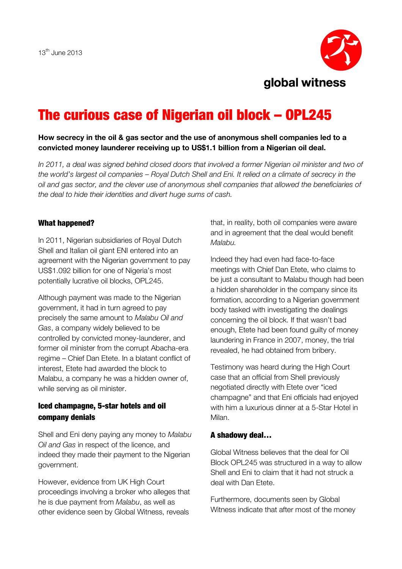

# The curious case of Nigerian oil block – OPL245

**How secrecy in the oil & gas sector and the use of anonymous shell companies led to a convicted money launderer receiving up to US\$1.1 billion from a Nigerian oil deal.** 

In 2011, a deal was signed behind closed doors that involved a former Nigerian oil minister and two of *the world's largest oil companies – Royal Dutch Shell and Eni. It relied on a climate of secrecy in the oil and gas sector, and the clever use of anonymous shell companies that allowed the beneficiaries of the deal to hide their identities and divert huge sums of cash.* 

#### What happened?

In 2011, Nigerian subsidiaries of Royal Dutch Shell and Italian oil giant ENI entered into an agreement with the Nigerian government to pay US\$1.092 billion for one of Nigeria's most potentially lucrative oil blocks, OPL245.

Although payment was made to the Nigerian government, it had in turn agreed to pay precisely the same amount to *Malabu Oil and Gas*, a company widely believed to be controlled by convicted money-launderer, and former oil minister from the corrupt Abacha-era regime – Chief Dan Etete. In a blatant conflict of interest, Etete had awarded the block to Malabu, a company he was a hidden owner of, while serving as oil minister.

#### Iced champagne, 5-star hotels and oil company denials

Shell and Eni deny paying any money to *Malabu Oil and Gas* in respect of the licence, and indeed they made their payment to the Nigerian government.

However, evidence from UK High Court proceedings involving a broker who alleges that he is due payment from *Malabu*, as well as other evidence seen by Global Witness, reveals

that, in reality, both oil companies were aware and in agreement that the deal would benefit *Malabu.*

Indeed they had even had face-to-face meetings with Chief Dan Etete, who claims to be just a consultant to Malabu though had been a hidden shareholder in the company since its formation, according to a Nigerian government body tasked with investigating the dealings concerning the oil block. If that wasn't bad enough, Etete had been found guilty of money laundering in France in 2007, money, the trial revealed, he had obtained from bribery.

Testimony was heard during the High Court case that an official from Shell previously negotiated directly with Etete over "iced champagne" and that Eni officials had enjoyed with him a luxurious dinner at a 5-Star Hotel in Milan.

#### A shadowy deal…

Global Witness believes that the deal for Oil Block OPL245 was structured in a way to allow Shell and Eni to claim that it had not struck a deal with Dan Etete.

Furthermore, documents seen by Global Witness indicate that after most of the money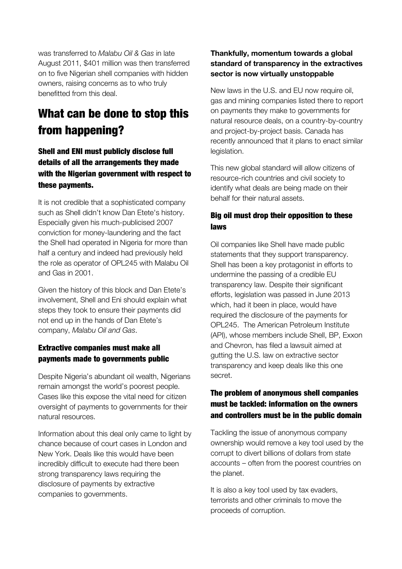was transferred to *Malabu Oil & Gas* in late August 2011, \$401 million was then transferred on to five Nigerian shell companies with hidden owners, raising concerns as to who truly benefitted from this deal.

## What can be done to stop this from happening?

Shell and ENI must publicly disclose full details of all the arrangements they made with the Nigerian government with respect to these payments.

It is not credible that a sophisticated company such as Shell didn't know Dan Etete's history. Especially given his much-publicised 2007 conviction for money-laundering and the fact the Shell had operated in Nigeria for more than half a century and indeed had previously held the role as operator of OPL245 with Malabu Oil and Gas in 2001.

Given the history of this block and Dan Etete's involvement, Shell and Eni should explain what steps they took to ensure their payments did not end up in the hands of Dan Etete's company, *Malabu Oil and Gas.* 

### Extractive companies must make all payments made to governments public

Despite Nigeria's abundant oil wealth, Nigerians remain amongst the world's poorest people. Cases like this expose the vital need for citizen oversight of payments to governments for their natural resources.

Information about this deal only came to light by chance because of court cases in London and New York. Deals like this would have been incredibly difficult to execute had there been strong transparency laws requiring the disclosure of payments by extractive companies to governments.

### **Thankfully, momentum towards a global standard of transparency in the extractives sector is now virtually unstoppable**

New laws in the U.S. and EU now require oil, gas and mining companies listed there to report on payments they make to governments for natural resource deals, on a country-by-country and project-by-project basis. Canada has recently announced that it plans to enact similar legislation.

This new global standard will allow citizens of resource-rich countries and civil society to identify what deals are being made on their behalf for their natural assets.

## Big oil must drop their opposition to these laws

Oil companies like Shell have made public statements that they support transparency. Shell has been a key protagonist in efforts to undermine the passing of a credible EU transparency law. Despite their significant efforts, legislation was passed in June 2013 which, had it been in place, would have required the disclosure of the payments for OPL245. The American Petroleum Institute (API), whose members include Shell, BP, Exxon and Chevron, has filed a lawsuit aimed at gutting the U.S. law on extractive sector transparency and keep deals like this one secret.

### The problem of anonymous shell companies must be tackled: information on the owners and controllers must be in the public domain

Tackling the issue of anonymous company ownership would remove a key tool used by the corrupt to divert billions of dollars from state accounts – often from the poorest countries on the planet.

It is also a key tool used by tax evaders, terrorists and other criminals to move the proceeds of corruption.